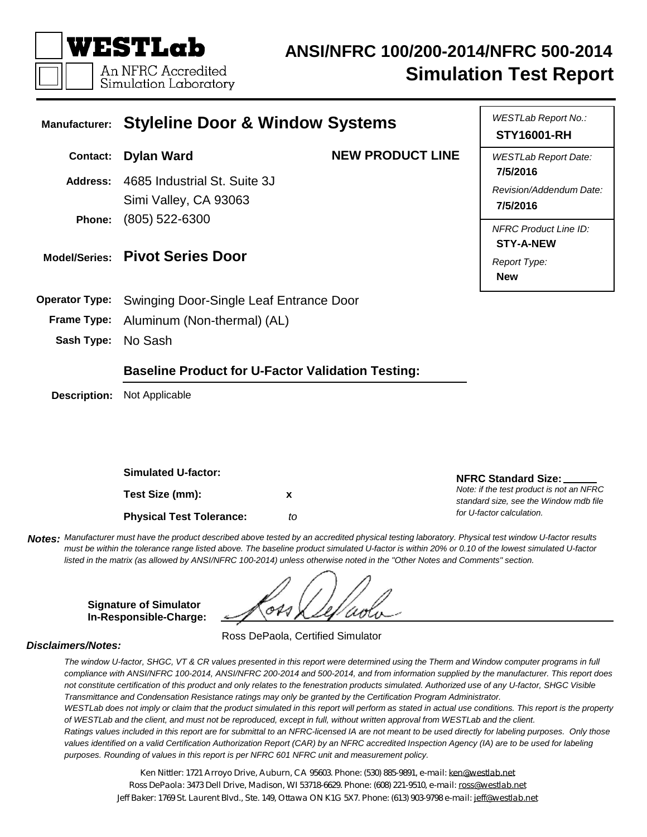

## **ANSI/NFRC 100/200-2014/NFRC 500-2014 Simulation Test Report**

| <b>Manufacturer:</b>  | <b>Styleline Door &amp; Window Systems</b>               | WESTLab Report No.:<br><b>STY16001-RH</b> |                                                                                |  |  |  |  |
|-----------------------|----------------------------------------------------------|-------------------------------------------|--------------------------------------------------------------------------------|--|--|--|--|
| <b>Contact:</b>       | <b>Dylan Ward</b>                                        | <b>NEW PRODUCT LINE</b>                   | <b>WESTLab Report Date:</b><br>7/5/2016                                        |  |  |  |  |
| Address:              | 4685 Industrial St. Suite 3J<br>Simi Valley, CA 93063    |                                           | Revision/Addendum Date:<br>7/5/2016                                            |  |  |  |  |
| Phone:                | $(805)$ 522-6300<br>Model/Series: Pivot Series Door      |                                           | <b>NFRC Product Line ID:</b><br><b>STY-A-NEW</b><br>Report Type:<br><b>New</b> |  |  |  |  |
| <b>Operator Type:</b> | Swinging Door-Single Leaf Entrance Door                  |                                           |                                                                                |  |  |  |  |
| <b>Frame Type:</b>    | Aluminum (Non-thermal) (AL)                              |                                           |                                                                                |  |  |  |  |
| Sash Type:            | No Sash                                                  |                                           |                                                                                |  |  |  |  |
|                       | <b>Baseline Product for U-Factor Validation Testing:</b> |                                           |                                                                                |  |  |  |  |
| <b>Description:</b>   | Not Applicable                                           |                                           |                                                                                |  |  |  |  |

**Test Size (mm): Simulated U-factor: Physical Test Tolerance:** *to* **x**

Notes: Manufacturer must have the product described above tested by an accredited physical testing laboratory. Physical test window U-factor results must be within the tolerance range listed above. The baseline product simulated U-factor is within 20% or 0.10 of the lowest simulated U-factor listed in the matrix (as allowed by ANSI/NFRC 100-2014) unless otherwise noted in the "Other Notes and Comments" section.

**Signature of Simulator In-Responsible-Charge:**

Ross DePaola, Certified Simulator

#### *Disclaimers/Notes:*

The window U-factor, SHGC, VT & CR values presented in this report were determined using the Therm and Window computer programs in full compliance with ANSI/NFRC 100-2014, ANSI/NFRC 200-2014 and 500-2014, and from information supplied by the manufacturer. This report does not constitute certification of this product and only relates to the fenestration products simulated. Authorized use of any U-factor, SHGC Visible *Transmittance and Condensation Resistance ratings may only be granted by the Certification Program Administrator.* WESTLab does not imply or claim that the product simulated in this report will perform as stated in actual use conditions. This report is the property of WESTLab and the client, and must not be reproduced, except in full, without written approval from WESTLab and the client.

Ratings values included in this report are for submittal to an NFRC-licensed IA are not meant to be used directly for labeling purposes. Only those values identified on a valid Certification Authorization Report (CAR) by an NFRC accredited Inspection Agency (IA) are to be used for labeling *purposes. Rounding of values in this report is per NFRC 601 NFRC unit and measurement policy.*

Ken Nittler: 1721 Arroyo Drive, Auburn, CA 95603. Phone: (530) 885-9891, e-mail: [ken@westlab.net](mailto:ken@westlab.net) Ross DePaola: 3473 Dell Drive, Madison, WI 53718-6629. Phone: (608) 221-9510, e-mail: [ross@westlab.net](mailto:ross@westlab.net) Jeff Baker: 1769 St. Laurent Blvd., Ste. 149, Ottawa ON K1G 5X7. Phone: (613) 903-9798 e-mail: [jeff@westlab.net](mailto:jeff@westlab.net)

**NFRC Standard Size:**

*for U-factor calculation.*

*Note: if the test product is not an NFRC standard size, see the Window mdb file*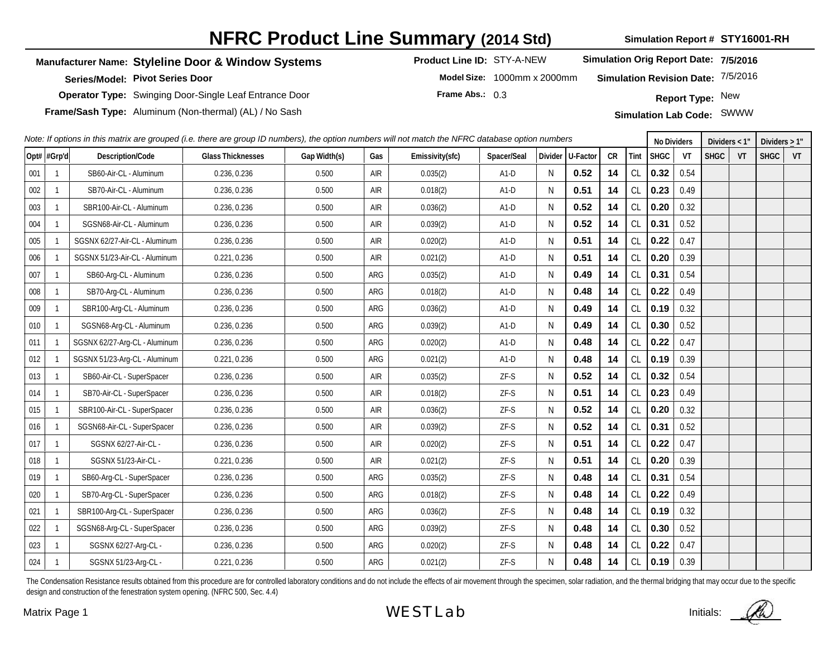## **NFRC Product Line Summary (2014 Std)**

**Simulation Report # STY16001-RH**

#### **Manufacturer Name: Styleline Door & Window Systems Product Line ID:** STY-A-NEW

**Series/Model: Pivot Series Door**

**Operator Type:** Swinging Door-Single Leaf Entrance Door

**Frame/Sash Type:** Aluminum (Non-thermal) (AL) / No Sash **Simulation Simulation Lab Code:** SWWW

**Simulation Orig Report Date: 7/5/2016**

**Model Size:** 1000mm x 2000mm

**Simulation Revision Date:** 7/5/2016

**Frame Abs.:** 0.3

**Report Type:** New

| Note: If options in this matrix are grouped (i.e. there are group ID numbers), the option numbers will not match the NFRC database option numbers |              |                               |                          |              |            |                 |             |              |                  | <b>No Dividers</b> |               | Dividers $<$ 1" |      | Dividers $>1"$ |    |             |    |
|---------------------------------------------------------------------------------------------------------------------------------------------------|--------------|-------------------------------|--------------------------|--------------|------------|-----------------|-------------|--------------|------------------|--------------------|---------------|-----------------|------|----------------|----|-------------|----|
|                                                                                                                                                   | Opt#  #Grp'd | Description/Code              | <b>Glass Thicknesses</b> | Gap Width(s) | Gas        | Emissivity(sfc) | Spacer/Seal |              | Divider U-Factor | CR                 | Tint          | <b>SHGC</b>     | VT   | <b>SHGC</b>    | VT | <b>SHGC</b> | VT |
| 001                                                                                                                                               | -1           | SB60-Air-CL - Aluminum        | 0.236, 0.236             | 0.500        | <b>AIR</b> | 0.035(2)        | $A1-D$      | <sup>N</sup> | 0.52             | 14                 | CL            | 0.32            | 0.54 |                |    |             |    |
| 002                                                                                                                                               | 1            | SB70-Air-CL - Aluminum        | 0.236, 0.236             | 0.500        | <b>AIR</b> | 0.018(2)        | $A1-D$      | N            | 0.51             | 14                 | CL            | 0.23            | 0.49 |                |    |             |    |
| 003                                                                                                                                               | 1            | SBR100-Air-CL - Aluminum      | 0.236, 0.236             | 0.500        | AIR        | 0.036(2)        | $A1-D$      | N            | 0.52             | 14                 | CL            | 0.20            | 0.32 |                |    |             |    |
| 004                                                                                                                                               | 1            | SGSN68-Air-CL - Aluminum      | 0.236, 0.236             | 0.500        | AIR        | 0.039(2)        | $A1-D$      | $\mathsf{N}$ | 0.52             | 14                 | CL            | 0.31            | 0.52 |                |    |             |    |
| 005                                                                                                                                               |              | SGSNX 62/27-Air-CL - Aluminum | 0.236, 0.236             | 0.500        | AIR        | 0.020(2)        | $A1-D$      | N            | 0.51             | 14                 | $\mathsf{CL}$ | 0.22            | 0.47 |                |    |             |    |
| 006                                                                                                                                               |              | SGSNX 51/23-Air-CL - Aluminum | 0.221, 0.236             | 0.500        | <b>AIR</b> | 0.021(2)        | $A1-D$      | N            | 0.51             | 14                 | CL            | 0.20            | 0.39 |                |    |             |    |
| 007                                                                                                                                               | $\mathbf{1}$ | SB60-Arg-CL - Aluminum        | 0.236, 0.236             | 0.500        | ARG        | 0.035(2)        | $A1-D$      | N            | 0.49             | 14                 | CL            | 0.31            | 0.54 |                |    |             |    |
| 008                                                                                                                                               | 1            | SB70-Arg-CL - Aluminum        | 0.236, 0.236             | 0.500        | ARG        | 0.018(2)        | $A1-D$      | N            | 0.48             | 14                 | CL            | 0.22            | 0.49 |                |    |             |    |
| 009                                                                                                                                               | 1            | SBR100-Arg-CL - Aluminum      | 0.236, 0.236             | 0.500        | ARG        | 0.036(2)        | $A1-D$      | N            | 0.49             | 14                 | CL            | 0.19            | 0.32 |                |    |             |    |
| 010                                                                                                                                               | $\mathbf{1}$ | SGSN68-Arg-CL - Aluminum      | 0.236, 0.236             | 0.500        | ARG        | 0.039(2)        | $A1-D$      | N            | 0.49             | 14                 | CL            | 0.30            | 0.52 |                |    |             |    |
| 011                                                                                                                                               |              | SGSNX 62/27-Arg-CL - Aluminum | 0.236, 0.236             | 0.500        | ARG        | 0.020(2)        | $A1-D$      | N            | 0.48             | 14                 | CL            | 0.22            | 0.47 |                |    |             |    |
| 012                                                                                                                                               |              | SGSNX 51/23-Arg-CL - Aluminum | 0.221, 0.236             | 0.500        | ARG        | 0.021(2)        | $A1-D$      | N            | 0.48             | 14                 | CL            | 0.19            | 0.39 |                |    |             |    |
| 013                                                                                                                                               | 1            | SB60-Air-CL - SuperSpacer     | 0.236, 0.236             | 0.500        | AIR        | 0.035(2)        | ZF-S        | N            | 0.52             | 14                 | CL            | 0.32            | 0.54 |                |    |             |    |
| 014                                                                                                                                               | 1            | SB70-Air-CL - SuperSpacer     | 0.236, 0.236             | 0.500        | AIR        | 0.018(2)        | ZF-S        | $\mathsf{N}$ | 0.51             | 14                 | CL            | 0.23            | 0.49 |                |    |             |    |
| 015                                                                                                                                               |              | SBR100-Air-CL - SuperSpacer   | 0.236, 0.236             | 0.500        | <b>AIR</b> | 0.036(2)        | ZF-S        | N            | 0.52             | 14                 | CL            | 0.20            | 0.32 |                |    |             |    |
| 016                                                                                                                                               | -1           | SGSN68-Air-CL - SuperSpacer   | 0.236, 0.236             | 0.500        | <b>AIR</b> | 0.039(2)        | ZF-S        | N            | 0.52             | 14                 | $\mathsf{CL}$ | 0.31            | 0.52 |                |    |             |    |
| 017                                                                                                                                               | $\mathbf{1}$ | SGSNX 62/27-Air-CL -          | 0.236, 0.236             | 0.500        | <b>AIR</b> | 0.020(2)        | $ZF-S$      | N            | 0.51             | 14                 | CL            | 0.22            | 0.47 |                |    |             |    |
| 018                                                                                                                                               | $\mathbf{1}$ | SGSNX 51/23-Air-CL -          | 0.221, 0.236             | 0.500        | AIR        | 0.021(2)        | ZF-S        | N            | 0.51             | 14                 | CL            | 0.20            | 0.39 |                |    |             |    |
| 019                                                                                                                                               | 1            | SB60-Arg-CL - SuperSpacer     | 0.236, 0.236             | 0.500        | ARG        | 0.035(2)        | ZF-S        | N            | 0.48             | 14                 | <b>CL</b>     | 0.31            | 0.54 |                |    |             |    |
| 020                                                                                                                                               | -1           | SB70-Arg-CL - SuperSpacer     | 0.236, 0.236             | 0.500        | ARG        | 0.018(2)        | ZF-S        | N            | 0.48             | 14                 | CL            | 0.22            | 0.49 |                |    |             |    |
| 021                                                                                                                                               |              | SBR100-Arg-CL - SuperSpacer   | 0.236, 0.236             | 0.500        | ARG        | 0.036(2)        | ZF-S        | N            | 0.48             | 14                 | CL            | 0.19            | 0.32 |                |    |             |    |
| 022                                                                                                                                               |              | SGSN68-Arg-CL - SuperSpacer   | 0.236, 0.236             | 0.500        | ARG        | 0.039(2)        | ZF-S        | N            | 0.48             | 14                 | CL            | 0.30            | 0.52 |                |    |             |    |
| 023                                                                                                                                               | $\mathbf{1}$ | SGSNX 62/27-Arg-CL-           | 0.236, 0.236             | 0.500        | ARG        | 0.020(2)        | ZF-S        | N            | 0.48             | 14                 | $\mathsf{CL}$ | 0.22            | 0.47 |                |    |             |    |
| 024                                                                                                                                               |              | SGSNX 51/23-Arg-CL -          | 0.221, 0.236             | 0.500        | ARG        | 0.021(2)        | $ZF-S$      | N            | 0.48             | 14                 | <b>CL</b>     | 0.19            | 0.39 |                |    |             |    |

The Condensation Resistance results obtained from this procedure are for controlled laboratory conditions and do not include the effects of air movement through the specimen, solar radiation, and the thermal bridging that design and construction of the fenestration system opening. (NFRC 500, Sec. 4.4)

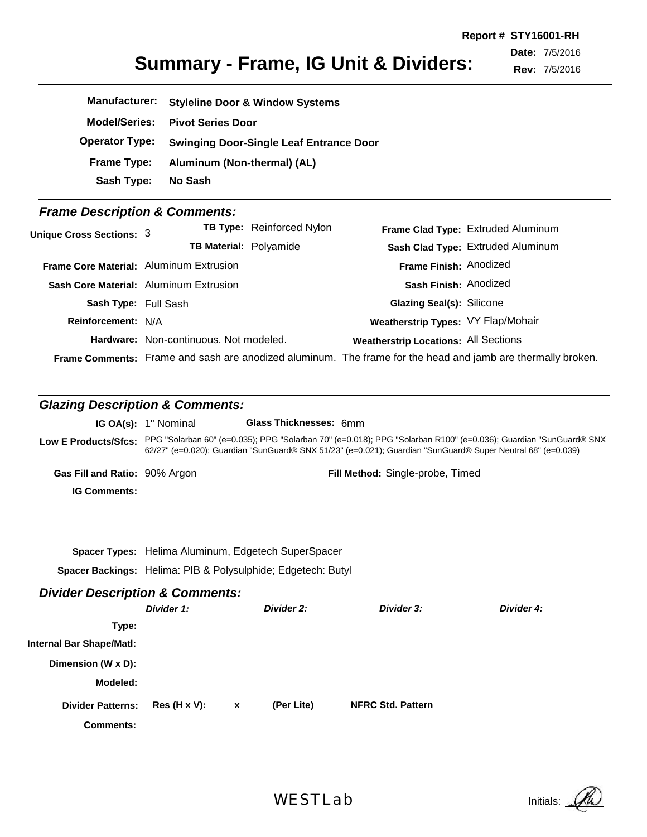**Report # STY16001-RH**

**Date:** 7/5/2016

**Rev:** 7/5/2016

| <b>Summary - Frame, IG Unit &amp; Dividers:</b> |  |  |  |
|-------------------------------------------------|--|--|--|
|-------------------------------------------------|--|--|--|

| <b>Manufacturer:</b>  | <b>Styleline Door &amp; Window Systems</b>     |
|-----------------------|------------------------------------------------|
| <b>Model/Series:</b>  | <b>Pivot Series Door</b>                       |
| <b>Operator Type:</b> | <b>Swinging Door-Single Leaf Entrance Door</b> |
| Frame Type:           | Aluminum (Non-thermal) (AL)                    |
| Sash Type:            | No Sash                                        |

### *Frame Description & Comments:*

| Unique Cross Sections: 3                |                                        | <b>TB Type:</b> Reinforced Nylon |                                             | Frame Clad Type: Extruded Aluminum                                                                          |
|-----------------------------------------|----------------------------------------|----------------------------------|---------------------------------------------|-------------------------------------------------------------------------------------------------------------|
|                                         | <b>TB Material: Polyamide</b>          |                                  |                                             | Sash Clad Type: Extruded Aluminum                                                                           |
| Frame Core Material: Aluminum Extrusion |                                        |                                  | Frame Finish: Anodized                      |                                                                                                             |
|                                         | Sash Core Material: Aluminum Extrusion |                                  | Sash Finish: Anodized                       |                                                                                                             |
| Sash Type: Full Sash                    |                                        |                                  | Glazing Seal(s): Silicone                   |                                                                                                             |
| Reinforcement: N/A                      |                                        |                                  | Weatherstrip Types: VY Flap/Mohair          |                                                                                                             |
|                                         | Hardware: Non-continuous. Not modeled. |                                  | <b>Weatherstrip Locations: All Sections</b> |                                                                                                             |
|                                         |                                        |                                  |                                             | Frame Comments: Frame and sash are anodized aluminum. The frame for the head and jamb are thermally broken. |

## *Glazing Description & Comments:*

|                                      | <b>IG OA(s):</b> 1" Nominal | <b>Glass Thicknesses: 6mm</b>                                                                                                                                                                                                   |
|--------------------------------------|-----------------------------|---------------------------------------------------------------------------------------------------------------------------------------------------------------------------------------------------------------------------------|
| Low E Products/Sfcs:                 |                             | PPG "Solarban 60" (e=0.035); PPG "Solarban 70" (e=0.018); PPG "Solarban R100" (e=0.036); Guardian "SunGuard® SNX<br>62/27" (e=0.020); Guardian "SunGuard® SNX 51/23" (e=0.021); Guardian "SunGuard® Super Neutral 68" (e=0.039) |
| <b>Gas Fill and Ratio: 90% Argon</b> |                             | Fill Method: Single-probe, Timed                                                                                                                                                                                                |
| <b>IG Comments:</b>                  |                             |                                                                                                                                                                                                                                 |

**Spacer Types:** Helima Aluminum, Edgetech SuperSpacer **Spacer Backings:** Helima: PIB & Polysulphide; Edgetech: Butyl

| <b>Divider Description &amp; Comments:</b> |                     |              |            |                          |            |
|--------------------------------------------|---------------------|--------------|------------|--------------------------|------------|
|                                            | Divider 1:          |              | Divider 2: | Divider 3:               | Divider 4: |
| Type:                                      |                     |              |            |                          |            |
| <b>Internal Bar Shape/Matl:</b>            |                     |              |            |                          |            |
| Dimension (W x D):                         |                     |              |            |                          |            |
| Modeled:                                   |                     |              |            |                          |            |
| <b>Divider Patterns:</b>                   | $Res(H \times V)$ : | $\mathbf{x}$ | (Per Lite) | <b>NFRC Std. Pattern</b> |            |
| <b>Comments:</b>                           |                     |              |            |                          |            |